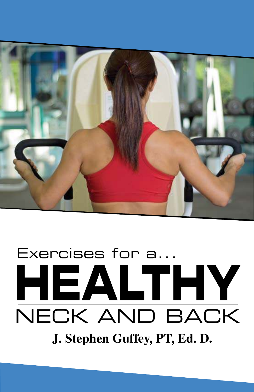

### Exercises for a... HEALTHY NECK AND BACK **J. Stephen Guffey, PT, Ed. D.**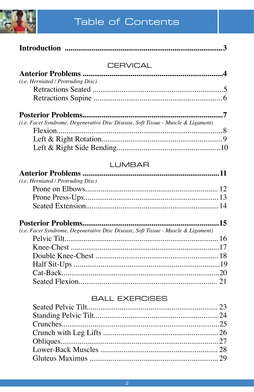

#### **Table of Contents**

| <b>CERVICAL</b>                                                                   |  |
|-----------------------------------------------------------------------------------|--|
|                                                                                   |  |
| (i.e. Herniated / Protruding Disc)                                                |  |
|                                                                                   |  |
|                                                                                   |  |
|                                                                                   |  |
| (i.e. Facet Syndrome, Degenerative Disc Disease, Soft Tissue - Muscle & Ligament) |  |
|                                                                                   |  |
|                                                                                   |  |
|                                                                                   |  |
| <b>LUMBAR</b>                                                                     |  |
|                                                                                   |  |
| (i.e. Herniated / Protruding Disc)                                                |  |
|                                                                                   |  |
|                                                                                   |  |
|                                                                                   |  |
|                                                                                   |  |
| (i.e. Facet Syndrome, Degenerative Disc Disease, Soft Tissue - Muscle & Ligament) |  |
|                                                                                   |  |
|                                                                                   |  |
|                                                                                   |  |
|                                                                                   |  |
|                                                                                   |  |
|                                                                                   |  |
| <b>BALL EXERCISES</b>                                                             |  |
|                                                                                   |  |
|                                                                                   |  |
|                                                                                   |  |
|                                                                                   |  |
|                                                                                   |  |
|                                                                                   |  |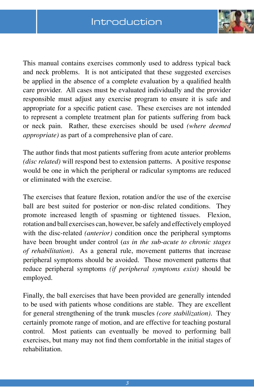

This manual contains exercises commonly used to address typical back and neck problems. It is not anticipated that these suggested exercises be applied in the absence of a complete evaluation by a qualified health care provider. All cases must be evaluated individually and the provider responsible must adjust any exercise program to ensure it is safe and appropriate for a specific patient case. These exercises are not intended to represent a complete treatment plan for patients suffering from back or neck pain. Rather, these exercises should be used *(where deemed appropriate*) as part of a comprehensive plan of care.

The author finds that most patients suffering from acute anterior problems *(disc related)* will respond best to extension patterns. A positive response would be one in which the peripheral or radicular symptoms are reduced or eliminated with the exercise.

The exercises that feature flexion, rotation and/or the use of the exercise ball are best suited for posterior or non-disc related conditions. They promote increased length of spasming or tightened tissues. Flexion, rotation and ball exercises can, however, be safely and effectively employed with the disc-related *(anterior)* condition once the peripheral symptoms have been brought under control (*as in the sub-acute to chronic stages of rehabilitation*). As a general rule, movement patterns that increase peripheral symptoms should be avoided. Those movement patterns that reduce peripheral symptoms *(if peripheral symptoms exist)* should be employed.

Finally, the ball exercises that have been provided are generally intended to be used with patients whose conditions are stable. They are excellent for general strengthening of the trunk muscles (core stabilization). They certainly promote range of motion, and are effective for teaching postural control. Most patients can eventually be moved to performing ball exercises, but many may not find them comfortable in the initial stages of rehabilitation.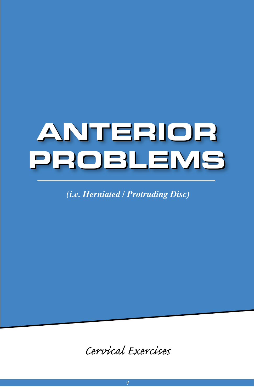## **ANTERIOR PROBLEMS**

*(i.e. Herniated / Protruding Disc)*

Cervical Exercises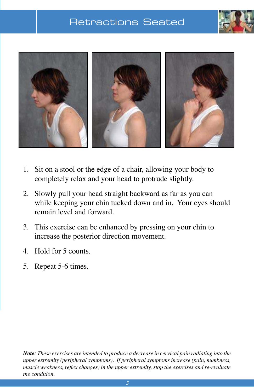#### Retractions Seated





- 1. Sit on a stool or the edge of a chair, allowing your body to completely relax and your head to protrude slightly.
- 2. Slowly pull your head straight backward as far as you can while keeping your chin tucked down and in. Your eyes should remain level and forward.
- 3. This exercise can be enhanced by pressing on your chin to increase the posterior direction movement.
- 4. Hold for 5 counts.
- 5. Repeat 5-6 times.

*Note: These exercises are intended to produce a decrease in cervical pain radiating into the upper extremity (peripheral symptoms). If peripheral symptoms increase (pain, numbness, muscle weakness, reflex changes) in the upper extremity, stop the exercises and re-evaluate the condition.*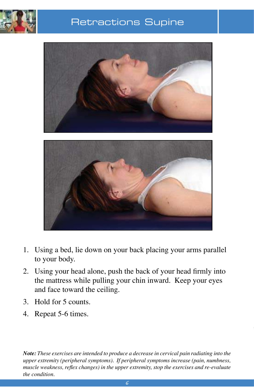

#### Retractions Supine



- 1. Using a bed, lie down on your back placing your arms parallel to your body.
- Using your head alone, push the back of your head firmly into 2. the mattress while pulling your chin inward. Keep your eyes and face toward the ceiling.
- 3. Hold for 5 counts.
- 4. Repeat 5-6 times.

*Note: These exercises are intended to produce a decrease in cervical pain radiating into the upper extremity (peripheral symptoms). If peripheral symptoms increase (pain, numbness, muscle weakness, reflex changes) in the upper extremity, stop the exercises and re-evaluate the condition.*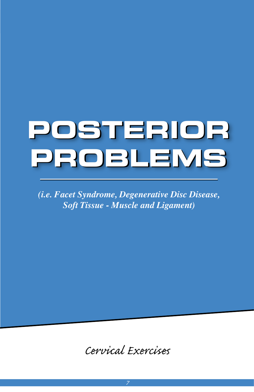### **POSTERIOR PROBLEMS**

*(i.e. Facet Syndrome, Degenerative Disc Disease, Soft Tissue - Muscle and Ligament)*

Cervical Exercises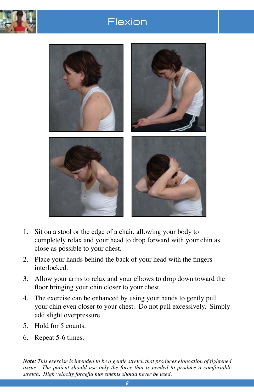

#### Flexion



- 1. Sit on a stool or the edge of a chair, allowing your body to completely relax and your head to drop forward with your chin as close as possible to your chest.
- Place your hands behind the back of your head with the fingers 2. interlocked.
- 3. Allow your arms to relax and your elbows to drop down toward the floor bringing your chin closer to your chest.
- 4. The exercise can be enhanced by using your hands to gently pull your chin even closer to your chest. Do not pull excessively. Simply add slight overpressure.
- 5. Hold for 5 counts.
- 6. Repeat 5-6 times.

*Note: This exercise is intended to be a gentle stretch that produces elongation of tightened tissue. The patient should use only the force that is needed to produce a comfortable stretch. High velocity forceful movements should never be used.*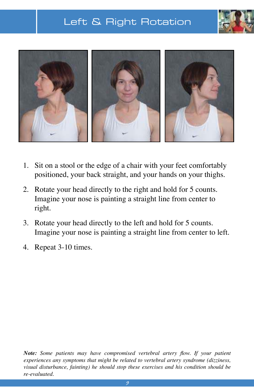#### Left & Right Rotation





- 1. Sit on a stool or the edge of a chair with your feet comfortably positioned, your back straight, and your hands on your thighs.
- 2. Rotate your head directly to the right and hold for 5 counts. Imagine your nose is painting a straight line from center to right.
- 3. Rotate your head directly to the left and hold for 5 counts. Imagine your nose is painting a straight line from center to left.
- 4. Repeat 3-10 times.

*Note: Some patients may have compromised vertebral artery flow. If your patient experiences any symptoms that might be related to vertebral artery syndrome (dizziness, visual disturbance, fainting) he should stop these exercises and his condition should be re-evaluated.*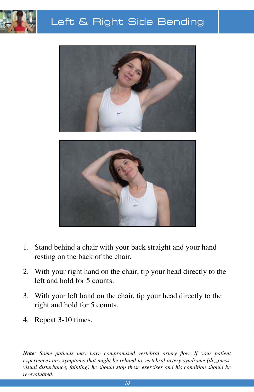

#### Left & Right Side Bending



- 1. Stand behind a chair with your back straight and your hand resting on the back of the chair.
- 2. With your right hand on the chair, tip your head directly to the left and hold for 5 counts.
- 3. With your left hand on the chair, tip your head directly to the right and hold for 5 counts.
- 4. Repeat 3-10 times.

*Note: Some patients may have compromised vertebral artery flow. If your patient experiences any symptoms that might be related to vertebral artery syndrome (dizziness, visual disturbance, fainting) he should stop these exercises and his condition should be re-evaluated.*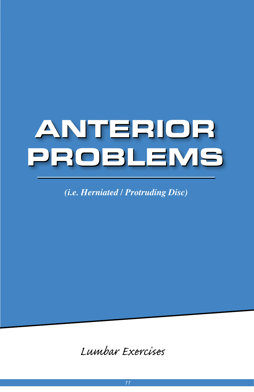## **ANTERIOR PROBLEMS**

*(i.e. Herniated / Protruding Disc)*

Lumbar Exercises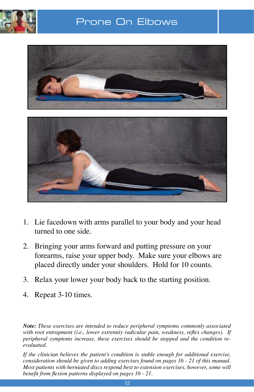

#### Prone On Elbows



- 1. Lie facedown with arms parallel to your body and your head turned to one side.
- 2. Bringing your arms forward and putting pressure on your forearms, raise your upper body. Make sure your elbows are placed directly under your shoulders. Hold for 10 counts.
- 3. Relax your lower your body back to the starting position.
- 4. Repeat 3-10 times.

*Note: These exercises are intended to reduce peripheral symptoms commonly associated with root entrapment (i.e., lower extremity radicular pain, weakness, reflex changes). If peripheral symptoms increase, these exercises should be stopped and the condition reevaluated.*

*If the clinician believes the patient's condition is stable enough for additional exercise, consideration should be given to adding exercises found on pages 16 - 21 of this manual. Most patients with herniated discs respond best to extension exercises, however, some will benefit from flexion patterns displayed on pages 16 - 21.*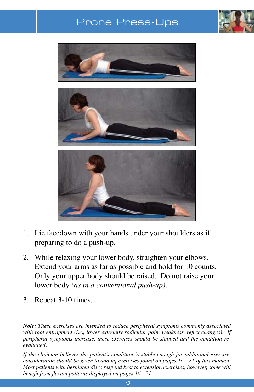#### Prone Press-Ups







- 1. Lie facedown with your hands under your shoulders as if preparing to do a push-up.
- 2. While relaxing your lower body, straighten your elbows. Extend your arms as far as possible and hold for 10 counts. Only your upper body should be raised. Do not raise your lower body (as in a conventional push-up).
- 3. Repeat 3-10 times.

*Note: These exercises are intended to reduce peripheral symptoms commonly associated with root entrapment (i.e., lower extremity radicular pain, weakness, reflex changes). If peripheral symptoms increase, these exercises should be stopped and the condition reevaluated.*

*If the clinician believes the patient's condition is stable enough for additional exercise, consideration should be given to adding exercises found on pages 16 - 21 of this manual. Most patients with herniated discs respond best to extension exercises, however, some will benefit from flexion patterns displayed on pages 16 - 21.*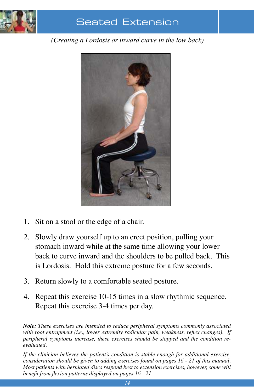

*(Creating a Lordosis or inward curve in the low back)*



- 1. Sit on a stool or the edge of a chair.
- 2. Slowly draw yourself up to an erect position, pulling your stomach inward while at the same time allowing your lower back to curve inward and the shoulders to be pulled back. This is Lordosis. Hold this extreme posture for a few seconds.
- 3. Return slowly to a comfortable seated posture.
- 4. Repeat this exercise 10-15 times in a slow rhythmic sequence. Repeat this exercise 3-4 times per day.

*Note: These exercises are intended to reduce peripheral symptoms commonly associated with root entrapment (i.e., lower extremity radicular pain, weakness, reflex changes). If peripheral symptoms increase, these exercises should be stopped and the condition reevaluated.*

*If the clinician believes the patient's condition is stable enough for additional exercise, consideration should be given to adding exercises found on pages 16 - 21 of this manual. Most patients with herniated discs respond best to extension exercises, however, some will benefit from flexion patterns displayed on pages 16 - 21.*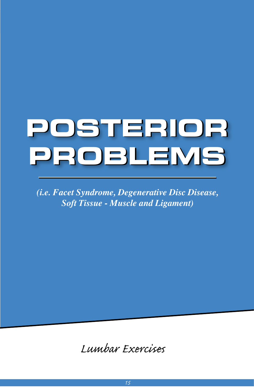### **POSTERIOR PROBLEMS**

*(i.e. Facet Syndrome, Degenerative Disc Disease, Soft Tissue - Muscle and Ligament)*

Lumbar Exercises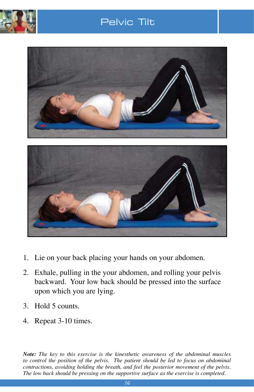

#### Pelvic Tilt





- 1. Lie on your back placing your hands on your abdomen.
- 2. Exhale, pulling in the your abdomen, and rolling your pelvis backward. Your low back should be pressed into the surface upon which you are lying.
- 3. Hold 5 counts.
- 4. Repeat 3-10 times.

*Note: The key to this exercise is the kinesthetic awareness of the abdominal muscles to control the position of the pelvis. The patient should be led to focus on abdominal contractions, avoiding holding the breath, and feel the posterior movement of the pelvis. The low back should be pressing on the supportive surface as the exercise is completed.*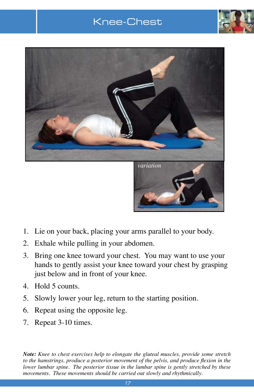#### Knee-Chest





- 1. Lie on your back, placing your arms parallel to your body.
- 2. Exhale while pulling in your abdomen.
- 3. Bring one knee toward your chest. You may want to use your hands to gently assist your knee toward your chest by grasping just below and in front of your knee.
- 4. Hold 5 counts.
- 5. Slowly lower your leg, return to the starting position.
- 6. Repeat using the opposite leg.
- 7. Repeat 3-10 times.

*Note: Knee to chest exercises help to elongate the gluteal muscles, provide some stretch to the hamstrings, produce a posterior movement of the pelvis, and produce flexion in the lower lumbar spine. The posterior tissue in the lumbar spine is gently stretched by these movements. These movements should be carried out slowly and rhythmically.*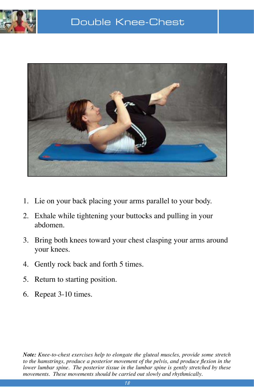



- 1. Lie on your back placing your arms parallel to your body.
- 2. Exhale while tightening your buttocks and pulling in your abdomen.
- 3. Bring both knees toward your chest clasping your arms around your knees.
- 4. Gently rock back and forth 5 times.
- 5. Return to starting position.
- 6. Repeat 3-10 times.

*Note: Knee-to-chest exercises help to elongate the gluteal muscles, provide some stretch to the hamstrings, produce a posterior movement of the pelvis, and produce flexion in the lower lumbar spine. The posterior tissue in the lumbar spine is gently stretched by these movements. These movements should be carried out slowly and rhythmically.*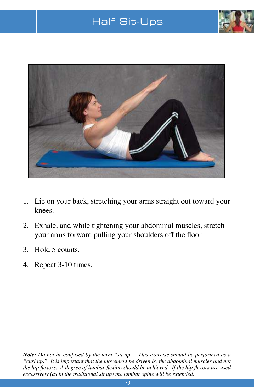#### Half Sit-Ups





- 1. Lie on your back, stretching your arms straight out toward your knees.
- 2. Exhale, and while tightening your abdominal muscles, stretch your arms forward pulling your shoulders off the floor.
- 3. Hold  $5$  counts.
- 4. Repeat 3-10 times.

*Note: Do not be confused by the term "sit up." This exercise should be performed as a "curl up." It is important that the movement be driven by the abdominal muscles and not the hip flexors. A degree of lumbar flexion should be achieved. If the hip flexors are used excessively (as in the traditional sit up) the lumbar spine will be extended.*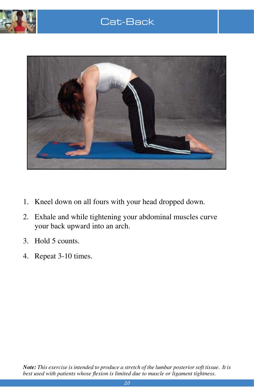

#### Cat-Back



- 1. Kneel down on all fours with your head dropped down.
- 2. Exhale and while tightening your abdominal muscles curve your back upward into an arch.
- 3. Hold  $5$  counts.
- 4. Repeat 3-10 times.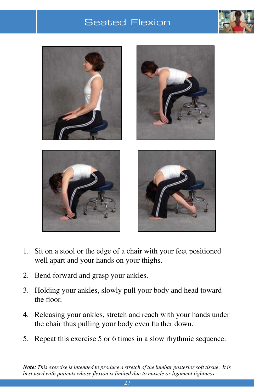#### Seated Flexion





- 1. Sit on a stool or the edge of a chair with your feet positioned well apart and your hands on your thighs.
- 2. Bend forward and grasp your ankles.
- 3. Holding your ankles, slowly pull your body and head toward the floor.
- 4. Releasing your ankles, stretch and reach with your hands under the chair thus pulling your body even further down.
- 5. Repeat this exercise 5 or 6 times in a slow rhythmic sequence.

*Note: This exercise is intended to produce a stretch of the lumbar posterior soft tissue. It is best used with patients whose flexion is limited due to muscle or ligament tightness.*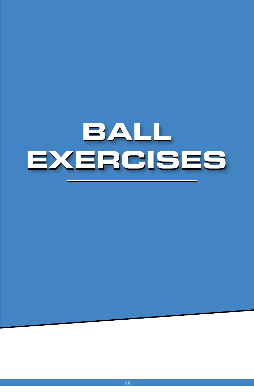# **BALL BALL EXERCISES**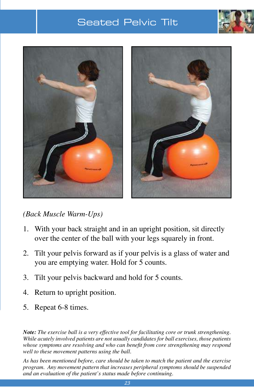#### Seated Pelvic Tilt





*(Back Muscle Warm-Ups)*

- 1. With your back straight and in an upright position, sit directly over the center of the ball with your legs squarely in front.
- 2. Tilt your pelvis forward as if your pelvis is a glass of water and you are emptying water. Hold for 5 counts.
- 3. Tilt your pelvis backward and hold for 5 counts.
- 4. Return to upright position.
- 5. Repeat 6-8 times.

*Note: The exercise ball is a very effective tool for facilitating core or trunk strengthening. While acutely involved patients are not usually candidates for ball exercises, those patients whose symptoms are resolving and who can benefit from core strengthening may respond well to these movement patterns using the ball.*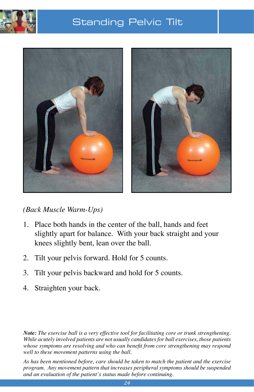

#### Standing Pelvic Tilt



*(Back Muscle Warm-Ups)*

- 1. Place both hands in the center of the ball, hands and feet slightly apart for balance. With your back straight and your knees slightly bent, lean over the ball.
- Tilt your pelvis forward. Hold for 5 counts. 2.
- Tilt your pelvis backward and hold for 5 counts. 3.
- 4. Straighten your back.

*Note: The exercise ball is a very effective tool for facilitating core or trunk strengthening. While acutely involved patients are not usually candidates for ball exercises, those patients whose symptoms are resolving and who can benefit from core strengthening may respond well to these movement patterns using the ball.*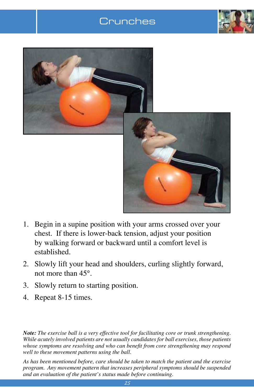#### **Crunches**





- 1. Begin in a supine position with your arms crossed over your chest. If there is lower-back tension, adjust your position by walking forward or backward until a comfort level is established.
- 2. Slowly lift your head and shoulders, curling slightly forward, not more than 45°.
- 3. Slowly return to starting position.
- 4. Repeat  $8-15$  times.

*Note: The exercise ball is a very effective tool for facilitating core or trunk strengthening. While acutely involved patients are not usually candidates for ball exercises, those patients whose symptoms are resolving and who can benefit from core strengthening may respond well to these movement patterns using the ball.*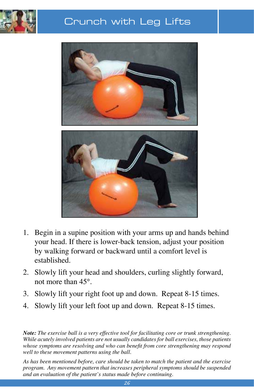

#### Crunch with Leg Lifts



- 1. Begin in a supine position with your arms up and hands behind your head. If there is lower-back tension, adjust your position by walking forward or backward until a comfort level is established.
- 2. Slowly lift your head and shoulders, curling slightly forward, not more than 45<sup>°</sup>.
- 3. Slowly lift your right foot up and down. Repeat 8-15 times.
- 4. Slowly lift your left foot up and down. Repeat 8-15 times.

*Note: The exercise ball is a very effective tool for facilitating core or trunk strengthening. While acutely involved patients are not usually candidates for ball exercises, those patients whose symptoms are resolving and who can benefit from core strengthening may respond well to these movement patterns using the ball.*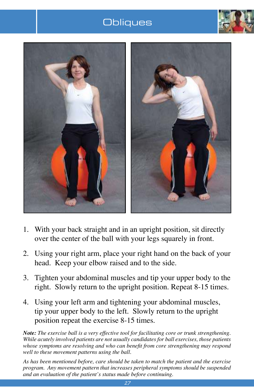#### **Obliques**





- 1. With your back straight and in an upright position, sit directly over the center of the ball with your legs squarely in front.
- 2. Using your right arm, place your right hand on the back of your head. Keep your elbow raised and to the side.
- 3. Tighten your abdominal muscles and tip your upper body to the right. Slowly return to the upright position. Repeat 8-15 times.
- 4. Using your left arm and tightening your abdominal muscles, tip your upper body to the left. Slowly return to the upright position repeat the exercise 8-15 times.

*Note: The exercise ball is a very effective tool for facilitating core or trunk strengthening. While acutely involved patients are not usually candidates for ball exercises, those patients whose symptoms are resolving and who can benefit from core strengthening may respond well to these movement patterns using the ball.*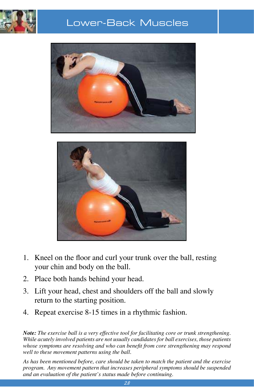

#### Lower-Back Muscles





- 1. Kneel on the floor and curl your trunk over the ball, resting your chin and body on the ball.
- 2. Place both hands behind your head.
- 3. Lift your head, chest and shoulders off the ball and slowly return to the starting position.
- 4. Repeat exercise 8-15 times in a rhythmic fashion.

*Note: The exercise ball is a very effective tool for facilitating core or trunk strengthening. While acutely involved patients are not usually candidates for ball exercises, those patients whose symptoms are resolving and who can benefit from core strengthening may respond well to these movement patterns using the ball.*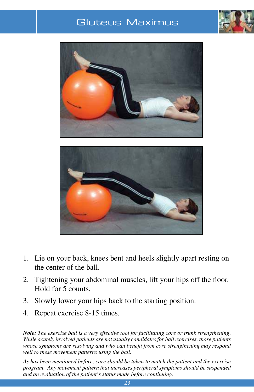#### Gluteus Maximus







- 1. Lie on your back, knees bent and heels slightly apart resting on the center of the ball.
- 2. Tightening your abdominal muscles, lift your hips off the floor. Hold for 5 counts.
- 3. Slowly lower your hips back to the starting position.
- 4. Repeat exercise 8-15 times.

*Note: The exercise ball is a very effective tool for facilitating core or trunk strengthening. While acutely involved patients are not usually candidates for ball exercises, those patients whose symptoms are resolving and who can benefit from core strengthening may respond well to these movement patterns using the ball.*